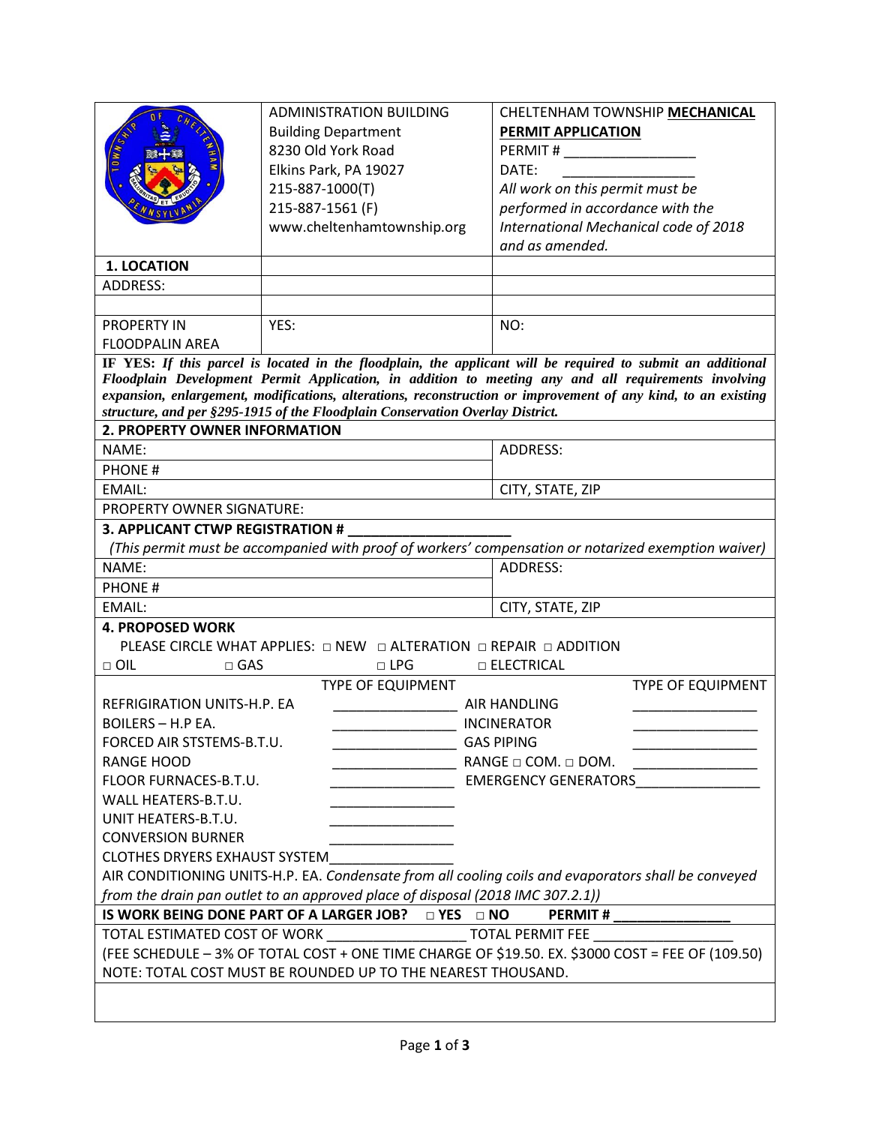|                                                                                                                                                                                                                       | <b>ADMINISTRATION BUILDING</b>                                     | CHELTENHAM TOWNSHIP MECHANICAL                           |  |
|-----------------------------------------------------------------------------------------------------------------------------------------------------------------------------------------------------------------------|--------------------------------------------------------------------|----------------------------------------------------------|--|
|                                                                                                                                                                                                                       | <b>Building Department</b>                                         | PERMIT APPLICATION                                       |  |
|                                                                                                                                                                                                                       | 8230 Old York Road                                                 |                                                          |  |
|                                                                                                                                                                                                                       | Elkins Park, PA 19027                                              | DATE:                                                    |  |
|                                                                                                                                                                                                                       | 215-887-1000(T)                                                    | All work on this permit must be                          |  |
|                                                                                                                                                                                                                       | 215-887-1561 (F)                                                   |                                                          |  |
|                                                                                                                                                                                                                       |                                                                    | performed in accordance with the                         |  |
|                                                                                                                                                                                                                       | www.cheltenhamtownship.org                                         | International Mechanical code of 2018<br>and as amended. |  |
|                                                                                                                                                                                                                       |                                                                    |                                                          |  |
| <b>1. LOCATION</b>                                                                                                                                                                                                    |                                                                    |                                                          |  |
| <b>ADDRESS:</b>                                                                                                                                                                                                       |                                                                    |                                                          |  |
|                                                                                                                                                                                                                       |                                                                    |                                                          |  |
| <b>PROPERTY IN</b>                                                                                                                                                                                                    | YES:                                                               | NO:                                                      |  |
| <b>FLOODPALIN AREA</b>                                                                                                                                                                                                |                                                                    |                                                          |  |
| IF YES: If this parcel is located in the floodplain, the applicant will be required to submit an additional                                                                                                           |                                                                    |                                                          |  |
| Floodplain Development Permit Application, in addition to meeting any and all requirements involving<br>expansion, enlargement, modifications, alterations, reconstruction or improvement of any kind, to an existing |                                                                    |                                                          |  |
|                                                                                                                                                                                                                       |                                                                    |                                                          |  |
| structure, and per §295-1915 of the Floodplain Conservation Overlay District.<br>2. PROPERTY OWNER INFORMATION                                                                                                        |                                                                    |                                                          |  |
| NAME:                                                                                                                                                                                                                 |                                                                    | <b>ADDRESS:</b>                                          |  |
|                                                                                                                                                                                                                       |                                                                    |                                                          |  |
| <b>PHONE#</b>                                                                                                                                                                                                         |                                                                    |                                                          |  |
| EMAIL:                                                                                                                                                                                                                |                                                                    | CITY, STATE, ZIP                                         |  |
| PROPERTY OWNER SIGNATURE:                                                                                                                                                                                             |                                                                    |                                                          |  |
| 3. APPLICANT CTWP REGISTRATION #                                                                                                                                                                                      |                                                                    |                                                          |  |
| (This permit must be accompanied with proof of workers' compensation or notarized exemption waiver)                                                                                                                   |                                                                    |                                                          |  |
| NAME:                                                                                                                                                                                                                 |                                                                    | <b>ADDRESS:</b>                                          |  |
| <b>PHONE#</b>                                                                                                                                                                                                         |                                                                    |                                                          |  |
| EMAIL:                                                                                                                                                                                                                |                                                                    | CITY, STATE, ZIP                                         |  |
| <b>4. PROPOSED WORK</b>                                                                                                                                                                                               |                                                                    |                                                          |  |
|                                                                                                                                                                                                                       | PLEASE CIRCLE WHAT APPLIES: □ NEW □ ALTERATION □ REPAIR □ ADDITION |                                                          |  |
| $\Box$ OIL<br>□ ELECTRICAL<br>$\square$ GAS<br>$\Box$ LPG                                                                                                                                                             |                                                                    |                                                          |  |
| <b>TYPE OF EQUIPMENT</b><br><b>TYPE OF EQUIPMENT</b>                                                                                                                                                                  |                                                                    |                                                          |  |
| REFRIGIRATION UNITS-H.P. EA                                                                                                                                                                                           |                                                                    | <b>AIR HANDLING</b>                                      |  |
| <b>BOILERS - H.P EA.</b>                                                                                                                                                                                              |                                                                    | <b>INCINERATOR</b>                                       |  |
| FORCED AIR STSTEMS-B.T.U.                                                                                                                                                                                             |                                                                    | <b>GAS PIPING</b>                                        |  |
| <b>RANGE HOOD</b>                                                                                                                                                                                                     |                                                                    | RANGE $\Box$ COM. $\Box$ DOM.                            |  |
| FLOOR FURNACES-B.T.U.<br><b>EMERGENCY GENERATORS</b>                                                                                                                                                                  |                                                                    |                                                          |  |
| WALL HEATERS-B.T.U.                                                                                                                                                                                                   |                                                                    |                                                          |  |
| UNIT HEATERS-B.T.U.                                                                                                                                                                                                   |                                                                    |                                                          |  |
| <b>CONVERSION BURNER</b>                                                                                                                                                                                              |                                                                    |                                                          |  |
| <b>CLOTHES DRYERS EXHAUST SYSTEM</b>                                                                                                                                                                                  |                                                                    |                                                          |  |
| AIR CONDITIONING UNITS-H.P. EA. Condensate from all cooling coils and evaporators shall be conveyed                                                                                                                   |                                                                    |                                                          |  |
| from the drain pan outlet to an approved place of disposal (2018 IMC 307.2.1))                                                                                                                                        |                                                                    |                                                          |  |
| IS WORK BEING DONE PART OF A LARGER JOB? DYES DNO<br><b>PERMIT#</b>                                                                                                                                                   |                                                                    |                                                          |  |
| TOTAL ESTIMATED COST OF WORK ________________________ TOTAL PERMIT FEE _                                                                                                                                              |                                                                    |                                                          |  |
| (FEE SCHEDULE - 3% OF TOTAL COST + ONE TIME CHARGE OF \$19.50. EX. \$3000 COST = FEE OF (109.50)                                                                                                                      |                                                                    |                                                          |  |
| NOTE: TOTAL COST MUST BE ROUNDED UP TO THE NEAREST THOUSAND.                                                                                                                                                          |                                                                    |                                                          |  |
|                                                                                                                                                                                                                       |                                                                    |                                                          |  |
|                                                                                                                                                                                                                       |                                                                    |                                                          |  |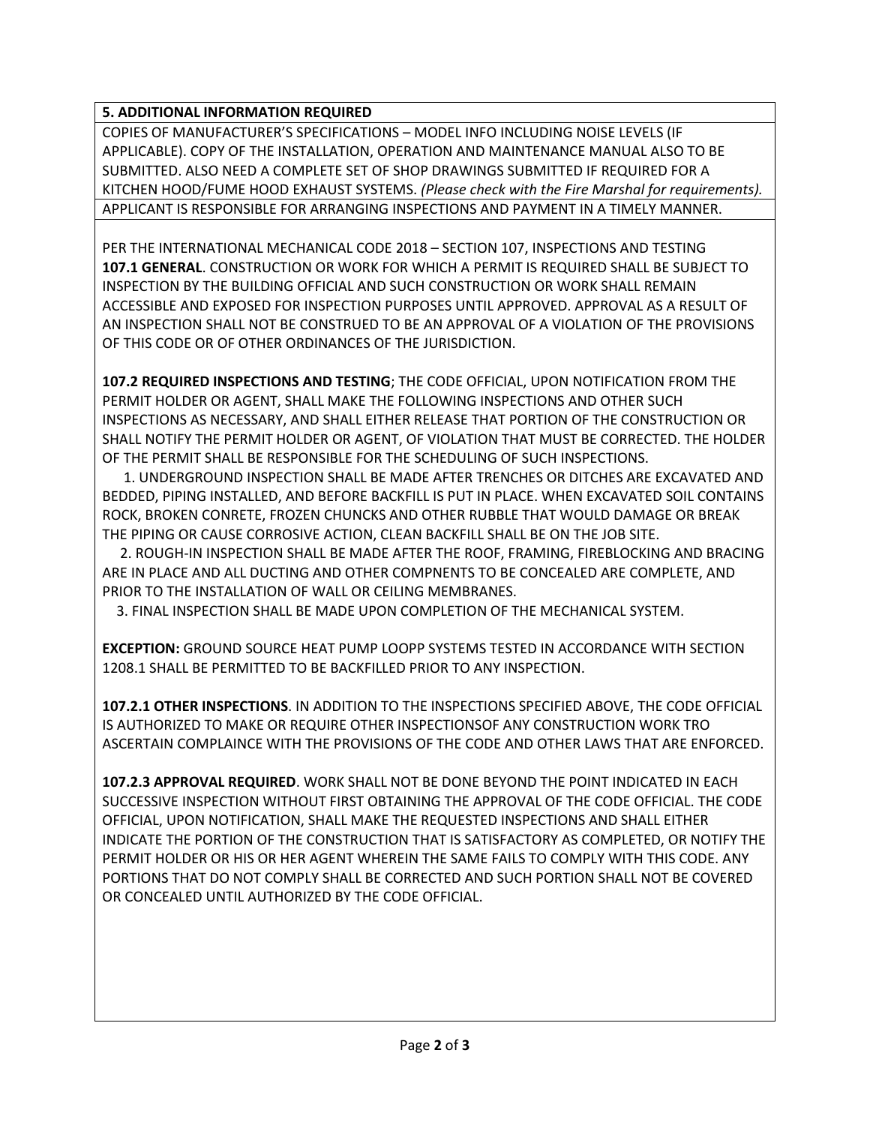## **5. ADDITIONAL INFORMATION REQUIRED**

COPIES OF MANUFACTURER'S SPECIFICATIONS – MODEL INFO INCLUDING NOISE LEVELS (IF APPLICABLE). COPY OF THE INSTALLATION, OPERATION AND MAINTENANCE MANUAL ALSO TO BE SUBMITTED. ALSO NEED A COMPLETE SET OF SHOP DRAWINGS SUBMITTED IF REQUIRED FOR A KITCHEN HOOD/FUME HOOD EXHAUST SYSTEMS. *(Please check with the Fire Marshal for requirements).* APPLICANT IS RESPONSIBLE FOR ARRANGING INSPECTIONS AND PAYMENT IN A TIMELY MANNER.

PER THE INTERNATIONAL MECHANICAL CODE 2018 – SECTION 107, INSPECTIONS AND TESTING **107.1 GENERAL**. CONSTRUCTION OR WORK FOR WHICH A PERMIT IS REQUIRED SHALL BE SUBJECT TO INSPECTION BY THE BUILDING OFFICIAL AND SUCH CONSTRUCTION OR WORK SHALL REMAIN ACCESSIBLE AND EXPOSED FOR INSPECTION PURPOSES UNTIL APPROVED. APPROVAL AS A RESULT OF AN INSPECTION SHALL NOT BE CONSTRUED TO BE AN APPROVAL OF A VIOLATION OF THE PROVISIONS OF THIS CODE OR OF OTHER ORDINANCES OF THE JURISDICTION.

**107.2 REQUIRED INSPECTIONS AND TESTING**; THE CODE OFFICIAL, UPON NOTIFICATION FROM THE PERMIT HOLDER OR AGENT, SHALL MAKE THE FOLLOWING INSPECTIONS AND OTHER SUCH INSPECTIONS AS NECESSARY, AND SHALL EITHER RELEASE THAT PORTION OF THE CONSTRUCTION OR SHALL NOTIFY THE PERMIT HOLDER OR AGENT, OF VIOLATION THAT MUST BE CORRECTED. THE HOLDER OF THE PERMIT SHALL BE RESPONSIBLE FOR THE SCHEDULING OF SUCH INSPECTIONS.

 1. UNDERGROUND INSPECTION SHALL BE MADE AFTER TRENCHES OR DITCHES ARE EXCAVATED AND BEDDED, PIPING INSTALLED, AND BEFORE BACKFILL IS PUT IN PLACE. WHEN EXCAVATED SOIL CONTAINS ROCK, BROKEN CONRETE, FROZEN CHUNCKS AND OTHER RUBBLE THAT WOULD DAMAGE OR BREAK THE PIPING OR CAUSE CORROSIVE ACTION, CLEAN BACKFILL SHALL BE ON THE JOB SITE.

 2. ROUGH-IN INSPECTION SHALL BE MADE AFTER THE ROOF, FRAMING, FIREBLOCKING AND BRACING ARE IN PLACE AND ALL DUCTING AND OTHER COMPNENTS TO BE CONCEALED ARE COMPLETE, AND PRIOR TO THE INSTALLATION OF WALL OR CEILING MEMBRANES.

3. FINAL INSPECTION SHALL BE MADE UPON COMPLETION OF THE MECHANICAL SYSTEM.

**EXCEPTION:** GROUND SOURCE HEAT PUMP LOOPP SYSTEMS TESTED IN ACCORDANCE WITH SECTION 1208.1 SHALL BE PERMITTED TO BE BACKFILLED PRIOR TO ANY INSPECTION.

**107.2.1 OTHER INSPECTIONS**. IN ADDITION TO THE INSPECTIONS SPECIFIED ABOVE, THE CODE OFFICIAL IS AUTHORIZED TO MAKE OR REQUIRE OTHER INSPECTIONSOF ANY CONSTRUCTION WORK TRO ASCERTAIN COMPLAINCE WITH THE PROVISIONS OF THE CODE AND OTHER LAWS THAT ARE ENFORCED.

**107.2.3 APPROVAL REQUIRED**. WORK SHALL NOT BE DONE BEYOND THE POINT INDICATED IN EACH SUCCESSIVE INSPECTION WITHOUT FIRST OBTAINING THE APPROVAL OF THE CODE OFFICIAL. THE CODE OFFICIAL, UPON NOTIFICATION, SHALL MAKE THE REQUESTED INSPECTIONS AND SHALL EITHER INDICATE THE PORTION OF THE CONSTRUCTION THAT IS SATISFACTORY AS COMPLETED, OR NOTIFY THE PERMIT HOLDER OR HIS OR HER AGENT WHEREIN THE SAME FAILS TO COMPLY WITH THIS CODE. ANY PORTIONS THAT DO NOT COMPLY SHALL BE CORRECTED AND SUCH PORTION SHALL NOT BE COVERED OR CONCEALED UNTIL AUTHORIZED BY THE CODE OFFICIAL.